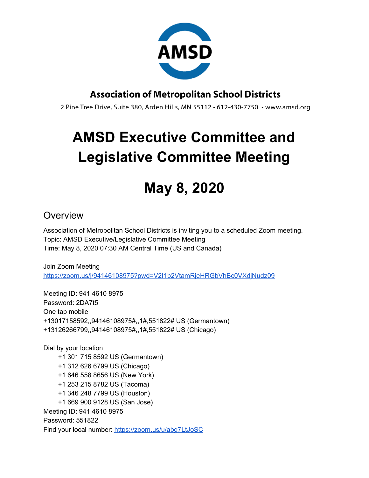

### **Association of Metropolitan School Districts**

2 Pine Tree Drive, Suite 380, Arden Hills, MN 55112 · 612-430-7750 · www.amsd.org

# **AMSD Executive Committee and Legislative Committee Meeting**

## **May 8, 2020**

#### **Overview**

Association of Metropolitan School Districts is inviting you to a scheduled Zoom meeting. Topic: AMSD Executive/Legislative Committee Meeting Time: May 8, 2020 07:30 AM Central Time (US and Canada)

Join Zoom Meeting <https://zoom.us/j/94146108975?pwd=V2I1b2VtamRjeHRGbVhBc0VXdjNudz09>

Meeting ID: 941 4610 8975 Password: 2DA7t5 One tap mobile +13017158592,,94146108975#,,1#,551822# US (Germantown) +13126266799,,94146108975#,,1#,551822# US (Chicago)

Dial by your location +1 301 715 8592 US (Germantown) +1 312 626 6799 US (Chicago) +1 646 558 8656 US (New York) +1 253 215 8782 US (Tacoma) +1 346 248 7799 US (Houston) +1 669 900 9128 US (San Jose) Meeting ID: 941 4610 8975 Password: 551822 Find your local number: <https://zoom.us/u/abg7LtJoSC>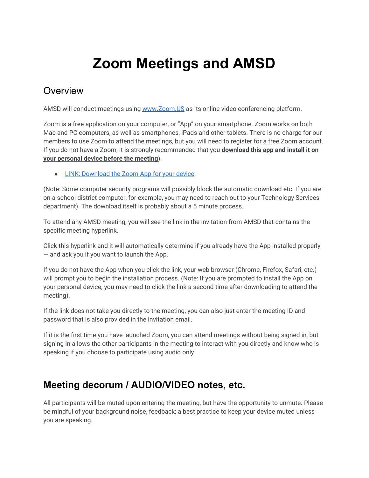## **Zoom Meetings and AMSD**

#### **Overview**

AMSD will conduct meetings using [www.Zoom.US](http://www.zoom.us/) as its online video conferencing platform.

Zoom is a free application on your computer, or "App" on your smartphone. Zoom works on both Mac and PC computers, as well as smartphones, iPads and other tablets. There is no charge for our members to use Zoom to attend the meetings, but you will need to register for a free Zoom account. If you do not have a Zoom, it is strongly recommended that you **download this app and install it on your personal device before the meeting**).

● [LINK: Download the Zoom App for your device](https://zoom.us/support/download)

(Note: Some computer security programs will possibly block the automatic download etc. If you are on a school district computer, for example, you may need to reach out to your Technology Services department). The download itself is probably about a 5 minute process.

To attend any AMSD meeting, you will see the link in the invitation from AMSD that contains the specific meeting hyperlink.

Click this hyperlink and it will automatically determine if you already have the App installed properly — and ask you if you want to launch the App.

If you do not have the App when you click the link, your web browser (Chrome, Firefox, Safari, etc.) will prompt you to begin the installation process. (Note: If you are prompted to install the App on your personal device, you may need to click the link a second time after downloading to attend the meeting).

If the link does not take you directly to the meeting, you can also just enter the meeting ID and password that is also provided in the invitation email.

If it is the first time you have launched Zoom, you can attend meetings without being signed in, but signing in allows the other participants in the meeting to interact with you directly and know who is speaking if you choose to participate using audio only.

### **Meeting decorum / AUDIO/VIDEO notes, etc.**

All participants will be muted upon entering the meeting, but have the opportunity to unmute. Please be mindful of your background noise, feedback; a best practice to keep your device muted unless you are speaking.